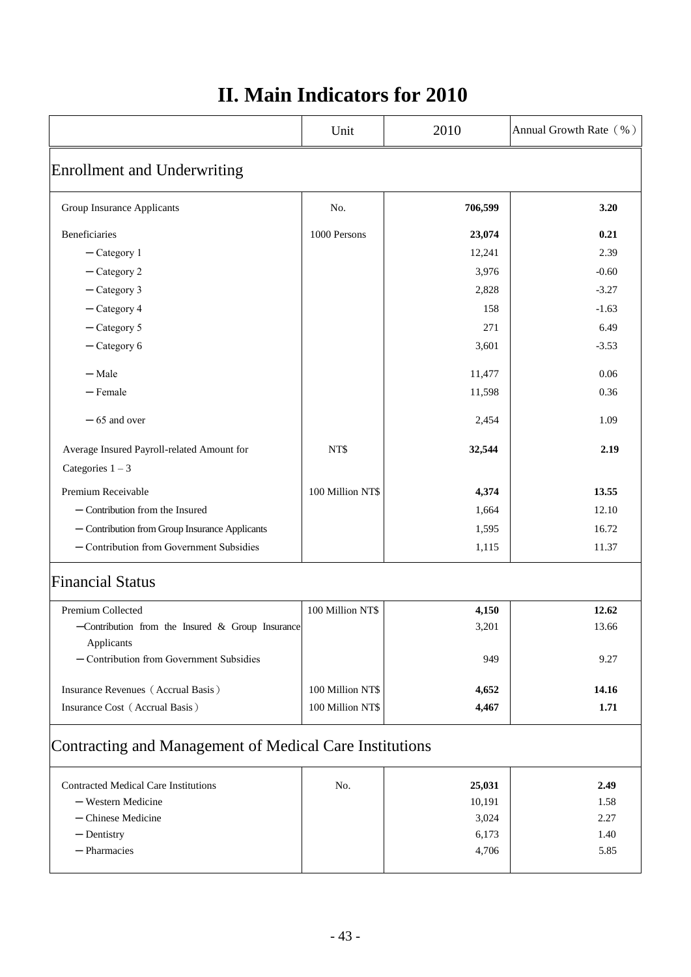|                                                    | Unit             | 2010    | Annual Growth Rate (%) |
|----------------------------------------------------|------------------|---------|------------------------|
| <b>Enrollment and Underwriting</b>                 |                  |         |                        |
| Group Insurance Applicants                         | No.              | 706,599 | 3.20                   |
| <b>Beneficiaries</b>                               | 1000 Persons     | 23,074  | 0.21                   |
| $-$ Category 1                                     |                  | 12,241  | 2.39                   |
| $-$ Category 2                                     |                  | 3,976   | $-0.60$                |
| $-$ Category 3                                     |                  | 2,828   | $-3.27$                |
| - Category 4                                       |                  | 158     | $-1.63$                |
| $-$ Category 5                                     |                  | 271     | 6.49                   |
| $-$ Category 6                                     |                  | 3,601   | $-3.53$                |
| $-Male$                                            |                  | 11,477  | 0.06                   |
| $-$ Female                                         |                  | 11,598  | 0.36                   |
| $-65$ and over                                     |                  | 2,454   | 1.09                   |
| Average Insured Payroll-related Amount for         | NT\$             | 32,544  | 2.19                   |
| Categories $1 - 3$                                 |                  |         |                        |
| Premium Receivable                                 | 100 Million NT\$ | 4,374   | 13.55                  |
| $-$ Contribution from the Insured                  |                  | 1,664   | 12.10                  |
| - Contribution from Group Insurance Applicants     |                  | 1,595   | 16.72                  |
| - Contribution from Government Subsidies           |                  | 1,115   | 11.37                  |
| <b>Financial Status</b>                            |                  |         |                        |
| Premium Collected                                  | 100 Million NT\$ | 4,150   | 12.62                  |
| -Contribution from the Insured $&$ Group Insurance |                  | 3,201   | 13.66                  |
| Applicants                                         |                  |         |                        |
| - Contribution from Government Subsidies           |                  | 949     | 9.27                   |

## **II. Main Indicators for 2010**

## Contracting and Management of Medical Care Institutions

| <b>Contracted Medical Care Institutions</b> | No. | 25,031 | 2.49 |
|---------------------------------------------|-----|--------|------|
| - Western Medicine                          |     | 10,191 | 1.58 |
| $-$ Chinese Medicine                        |     | 3,024  | 2.27 |
| — Dentistry                                 |     | 6,173  | 1.40 |
| — Pharmacies                                |     | 4.706  | 5.85 |
|                                             |     |        |      |

Insurance Revenues (Accrual Basis) 100 Million NT\$ 14.652 14.16 **Insurance Cost** (Accrual Basis) 100 Million NT\$ **4,467** 1.71